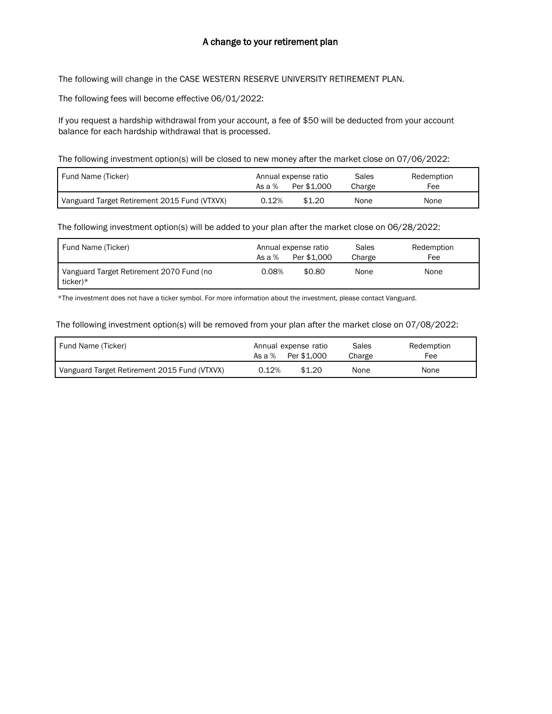## A change to your retirement plan

The following will change in the CASE WESTERN RESERVE UNIVERSITY RETIREMENT PLAN.

The following fees will become effective 06/01/2022:

If you request a hardship withdrawal from your account, a fee of \$50 will be deducted from your account balance for each hardship withdrawal that is processed.

The following investment option(s) will be closed to new money after the market close on 07/06/2022:

| Fund Name (Ticker)                           | Annual expense ratio |             | Sales  | Redemption |
|----------------------------------------------|----------------------|-------------|--------|------------|
|                                              | As a $%$             | Per \$1.000 | Charge | Fee        |
| Vanguard Target Retirement 2015 Fund (VTXVX) | 0.12%                | \$1.20      | None   | None       |

The following investment option(s) will be added to your plan after the market close on 06/28/2022:

| Fund Name (Ticker)                                   | As a $%$ | Annual expense ratio<br>Per \$1,000 | Sales<br>Charge | Redemption<br>Fee |
|------------------------------------------------------|----------|-------------------------------------|-----------------|-------------------|
| Vanguard Target Retirement 2070 Fund (no<br>ticker)* | 0.08%    | \$0.80                              | None            | None              |

\*The investment does not have a ticker symbol. For more information about the investment, please contact Vanguard.

The following investment option(s) will be removed from your plan after the market close on 07/08/2022:

| Fund Name (Ticker)                           | Annual expense ratio<br>Per \$1.000<br>As a % | Sales<br>Charge | Redemption<br>Fee |
|----------------------------------------------|-----------------------------------------------|-----------------|-------------------|
| Vanguard Target Retirement 2015 Fund (VTXVX) | \$1.20<br>0.12%                               | None            | None              |